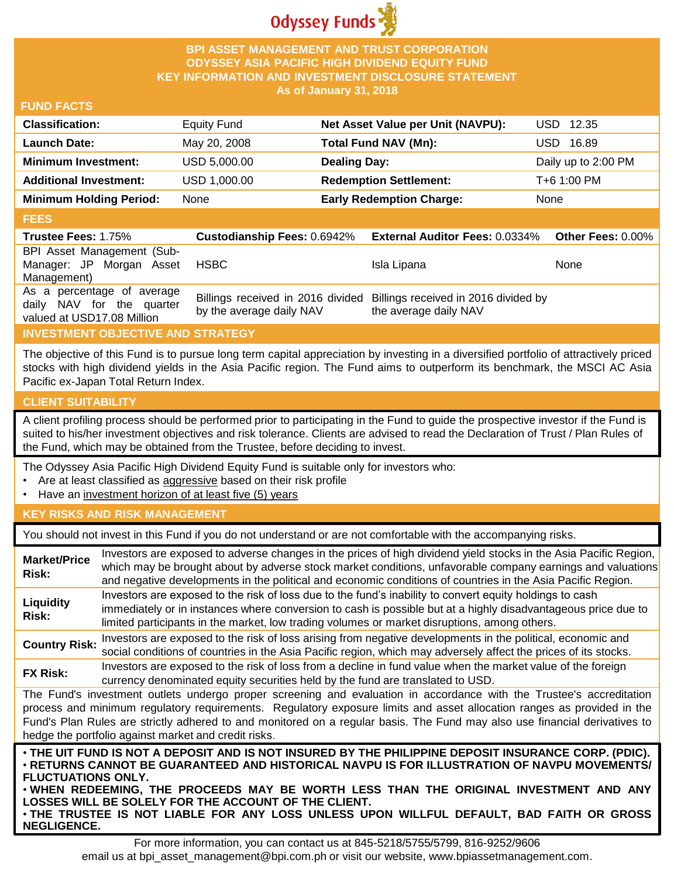

### **BPI ASSET MANAGEMENT AND TRUST CORPORATION ODYSSEY ASIA PACIFIC HIGH DIVIDEND EQUITY FUND KEY INFORMATION AND INVESTMENT DISCLOSURE STATEMENT As of January 31, 2018**

#### **FUND FACTS**

| <b>Classification:</b>         | <b>Equity Fund</b> | Net Asset Value per Unit (NAVPU): | USD 12.35           |
|--------------------------------|--------------------|-----------------------------------|---------------------|
| <b>Launch Date:</b>            | May 20, 2008       | Total Fund NAV (Mn):              | 16.89<br>USD-       |
| <b>Minimum Investment:</b>     | USD 5,000.00       | <b>Dealing Day:</b>               | Daily up to 2:00 PM |
| <b>Additional Investment:</b>  | USD 1,000.00       | <b>Redemption Settlement:</b>     | T+6 1:00 PM         |
| <b>Minimum Holding Period:</b> | None               | <b>Early Redemption Charge:</b>   | None                |

#### **FEES**

| -----                                                   |                          |                                                                        |                   |
|---------------------------------------------------------|--------------------------|------------------------------------------------------------------------|-------------------|
| <b>Trustee Fees: 1.75%</b>                              |                          | Custodianship Fees: 0.6942% External Auditor Fees: 0.0334%             | Other Fees: 0.00% |
| BPI Asset Management (Sub-                              |                          |                                                                        |                   |
| Manager: JP Morgan Asset                                | HSBC                     | Isla Lipana                                                            | None              |
| Management)                                             |                          |                                                                        |                   |
| As a percentage of average<br>daily NAV for the quarter |                          | Billings received in 2016 divided Billings received in 2016 divided by |                   |
| valued at USD17.08 Million                              | by the average daily NAV | the average daily NAV                                                  |                   |

## **INVESTMENT OBJECTIVE AND STRATEGY**

The objective of this Fund is to pursue long term capital appreciation by investing in a diversified portfolio of attractively priced stocks with high dividend yields in the Asia Pacific region. The Fund aims to outperform its benchmark, the MSCI AC Asia Pacific ex-Japan Total Return Index.

## **CLIENT SUITABILITY**

**NEGLIGENCE.**

A client profiling process should be performed prior to participating in the Fund to guide the prospective investor if the Fund is suited to his/her investment objectives and risk tolerance. Clients are advised to read the Declaration of Trust / Plan Rules of the Fund, which may be obtained from the Trustee, before deciding to invest.

The Odyssey Asia Pacific High Dividend Equity Fund is suitable only for investors who:

- Are at least classified as aggressive based on their risk profile
- Have an investment horizon of at least five (5) years

#### **KEY RISKS AND RISK MANAGEMENT**

You should not invest in this Fund if you do not understand or are not comfortable with the accompanying risks.

| <b>Market/Price</b><br>Risk:                                                                                                                                                                                                                                                                                                                                                                                                                                                 | Investors are exposed to adverse changes in the prices of high dividend yield stocks in the Asia Pacific Region,<br>which may be brought about by adverse stock market conditions, unfavorable company earnings and valuations<br>and negative developments in the political and economic conditions of countries in the Asia Pacific Region. |  |  |
|------------------------------------------------------------------------------------------------------------------------------------------------------------------------------------------------------------------------------------------------------------------------------------------------------------------------------------------------------------------------------------------------------------------------------------------------------------------------------|-----------------------------------------------------------------------------------------------------------------------------------------------------------------------------------------------------------------------------------------------------------------------------------------------------------------------------------------------|--|--|
| Liquidity<br>Risk:                                                                                                                                                                                                                                                                                                                                                                                                                                                           | Investors are exposed to the risk of loss due to the fund's inability to convert equity holdings to cash<br>immediately or in instances where conversion to cash is possible but at a highly disadvantageous price due to<br>limited participants in the market, low trading volumes or market disruptions, among others.                     |  |  |
| <b>Country Risk:</b>                                                                                                                                                                                                                                                                                                                                                                                                                                                         | Investors are exposed to the risk of loss arising from negative developments in the political, economic and<br>social conditions of countries in the Asia Pacific region, which may adversely affect the prices of its stocks.                                                                                                                |  |  |
| <b>FX Risk:</b>                                                                                                                                                                                                                                                                                                                                                                                                                                                              | Investors are exposed to the risk of loss from a decline in fund value when the market value of the foreign<br>currency denominated equity securities held by the fund are translated to USD.                                                                                                                                                 |  |  |
| The Fund's investment outlets undergo proper screening and evaluation in accordance with the Trustee's accreditation<br>process and minimum regulatory requirements. Regulatory exposure limits and asset allocation ranges as provided in the<br>Fund's Plan Rules are strictly adhered to and monitored on a regular basis. The Fund may also use financial derivatives to<br>hedge the portfolio against market and credit risks.                                         |                                                                                                                                                                                                                                                                                                                                               |  |  |
| . THE UIT FUND IS NOT A DEPOSIT AND IS NOT INSURED BY THE PHILIPPINE DEPOSIT INSURANCE CORP. (PDIC).<br>⋅RETURNS CANNOT BE GUARANTEED AND HISTORICAL NAVPU IS FOR ILLUSTRATION OF NAVPU MOVEMENTS/<br><b>FLUCTUATIONS ONLY.</b><br>. WHEN REDEEMING, THE PROCEEDS MAY BE WORTH LESS THAN THE ORIGINAL INVESTMENT AND ANY<br>LOSSES WILL BE SOLELY FOR THE ACCOUNT OF THE CLIENT.<br>. THE TRUSTEE IS NOT LIABLE FOR ANY LOSS UNLESS UPON WILLFUL DEFAULT, BAD FAITH OR GROSS |                                                                                                                                                                                                                                                                                                                                               |  |  |

For more information, you can contact us at 845-5218/5755/5799, 816-9252/9606 email us at bpi\_asset\_management@bpi.com.ph or visit our website, www.bpiassetmanagement.com.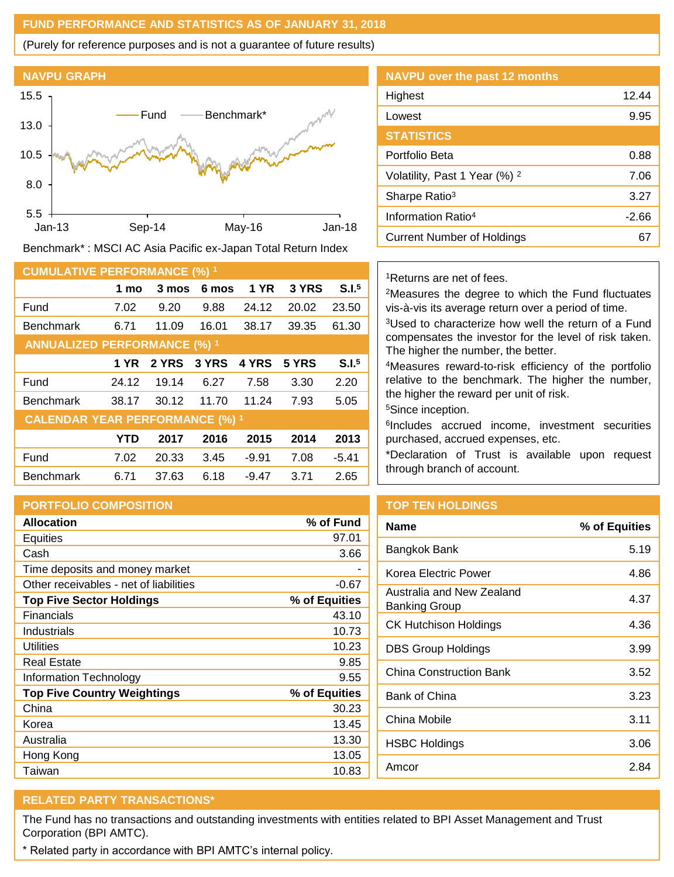### **FUND PERFORMANCE AND STATISTICS AS OF JANUARY 31, 2018**

(Purely for reference purposes and is not a guarantee of future results)



Benchmark\* : MSCI AC Asia Pacific ex-Japan Total Return Index

| <b>CUMULATIVE PERFORMANCE (%) 1</b>    |       |              |       |             |       |                   |
|----------------------------------------|-------|--------------|-------|-------------|-------|-------------------|
|                                        | 1 mo  | 3 mos        | 6 mos | <b>1 YR</b> | 3 YRS | S.I. <sup>5</sup> |
| Fund                                   | 7.02  | 9.20         | 9.88  | 24.12       | 20.02 | 23.50             |
| <b>Benchmark</b>                       | 6.71  | 11.09        | 16.01 | 38.17       | 39.35 | 61.30             |
| <b>ANNUALIZED PERFORMANCE (%) 1</b>    |       |              |       |             |       |                   |
|                                        | 1 YR  | <b>2 YRS</b> | 3 YRS | 4 YRS       | 5 YRS | S.I. <sup>5</sup> |
| Fund                                   | 24.12 | 19.14        | 6.27  | 7.58        | 3.30  | 2.20              |
| <b>Benchmark</b>                       | 38.17 | 30.12        | 11.70 | 11.24       | 7.93  | 5.05              |
| <b>CALENDAR YEAR PERFORMANCE (%) 1</b> |       |              |       |             |       |                   |
|                                        | YTD   | 2017         | 2016  | 2015        | 2014  | 2013              |
| Fund                                   | 7.02  | 20.33        | 3.45  | $-9.91$     | 7.08  | $-5.41$           |
| <b>Benchmark</b>                       | 6.71  | 37.63        | 6.18  | $-9.47$     | 3.71  | 2.65              |

## **PORTFOLIO COMPOSITION**

| <b>Allocation</b>                      | % of Fund     |
|----------------------------------------|---------------|
| Equities                               | 97.01         |
| Cash                                   | 3.66          |
| Time deposits and money market         |               |
| Other receivables - net of liabilities | $-0.67$       |
| <b>Top Five Sector Holdings</b>        | % of Equities |
| Financials                             | 43.10         |
| Industrials                            | 10.73         |
| Utilities                              | 10.23         |
| <b>Real Estate</b>                     | 9.85          |
| Information Technology                 | 9.55          |
| <b>Top Five Country Weightings</b>     | % of Equities |
| China                                  | 30.23         |
| Korea                                  | 13.45         |
| Australia                              | 13.30         |
| Hong Kong                              | 13.05         |
| Taiwan                                 | 10.83         |

| <b>NAVPU over the past 12 months</b>     |       |
|------------------------------------------|-------|
| Highest                                  | 12.44 |
| Lowest                                   | 9.95  |
| <b>STATISTICS</b>                        |       |
| Portfolio Beta                           | 0.88  |
| Volatility, Past 1 Year (%) <sup>2</sup> | 7.06  |
| Sharpe Ratio <sup>3</sup>                | 3.27  |
| Information Ratio <sup>4</sup>           | -2.66 |
| <b>Current Number of Holdings</b>        | 67    |
|                                          |       |

#### <sup>1</sup>Returns are net of fees.

<sup>2</sup>Measures the degree to which the Fund fluctuates vis-à-vis its average return over a period of time.

<sup>3</sup>Used to characterize how well the return of a Fund compensates the investor for the level of risk taken. The higher the number, the better.

<sup>4</sup>Measures reward-to-risk efficiency of the portfolio relative to the benchmark. The higher the number, the higher the reward per unit of risk.

<sup>5</sup>Since inception.

6 Includes accrued income, investment securities purchased, accrued expenses, etc.

\*Declaration of Trust is available upon request through branch of account.

# **TOP TEN HOLDINGS**

| Name                                       | % of Equities |
|--------------------------------------------|---------------|
| Bangkok Bank                               | 5.19          |
| Korea Electric Power                       | 4.86          |
| Australia and New Zealand<br>Banking Group | 4.37          |
| <b>CK Hutchison Holdings</b>               | 4.36          |
| <b>DBS Group Holdings</b>                  | 3.99          |
| China Construction Bank                    | 3.52          |
| Bank of China                              | 3.23          |
| China Mobile                               | 3.11          |
| HSBC Holdings                              | 3.06          |
| Amcor                                      | 2.84          |
|                                            |               |

# **RELATED PARTY TRANSACTIONS\***

The Fund has no transactions and outstanding investments with entities related to BPI Asset Management and Trust Corporation (BPI AMTC).

\* Related party in accordance with BPI AMTC's internal policy.